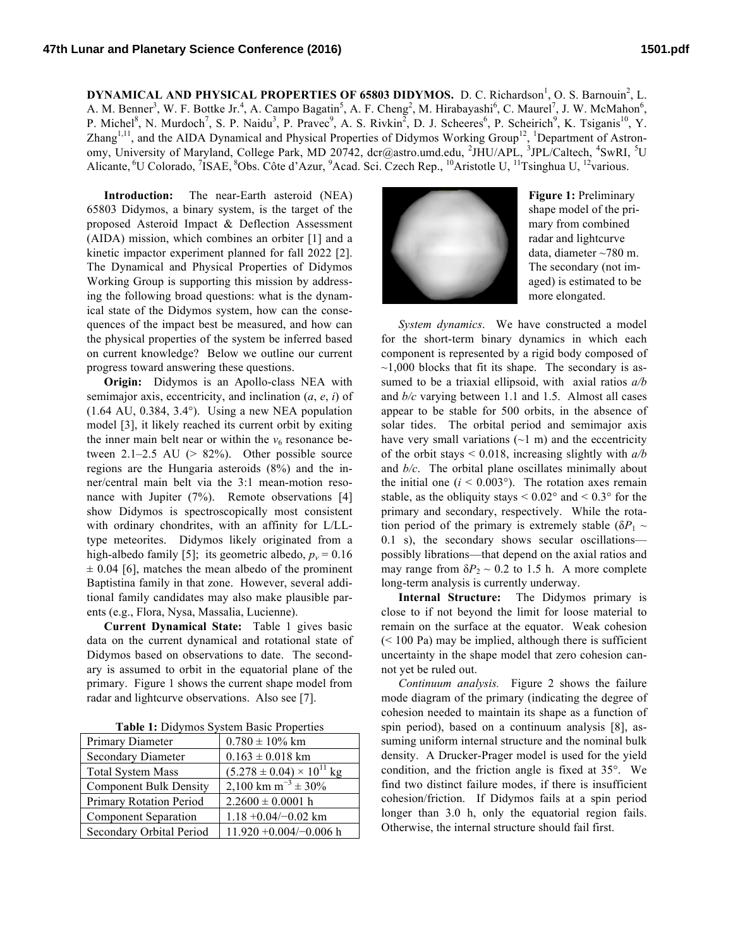**DYNAMICAL AND PHYSICAL PROPERTIES OF 65803 DIDYMOS.** D. C. Richardson<sup>1</sup>, O. S. Barnouin<sup>2</sup>, L. A. M. Benner<sup>3</sup>, W. F. Bottke Jr.<sup>4</sup>, A. Campo Bagatin<sup>5</sup>, A. F. Cheng<sup>2</sup>, M. Hirabayashi<sup>6</sup>, C. Maurel<sup>7</sup>, J. W. McMahon<sup>6</sup>, P. Michel<sup>8</sup>, N. Murdoch<sup>7</sup>, S. P. Naidu<sup>3</sup>, P. Pravec<sup>9</sup>, A. S. Rivkin<sup>2</sup>, D. J. Scheeres<sup>6</sup>, P. Scheirich<sup>9</sup>, K. Tsiganis<sup>10</sup>, Y. Zhang<sup>1,11</sup>, and the AIDA Dynamical and Physical Properties of Didymos Working Group<sup>12</sup>, <sup>1</sup>Department of Astronomy, University of Maryland, College Park, MD 20742, dcr@astro.umd.edu, <sup>2</sup>JHU/APL, <sup>3</sup>JPL/Caltech, <sup>4</sup>SwRI, <sup>5</sup>U Alicante, <sup>6</sup>U Colorado, <sup>7</sup>ISAE, <sup>8</sup>Obs. Côte d'Azur, <sup>9</sup>Acad. Sci. Czech Rep., <sup>10</sup>Aristotle U, <sup>11</sup>Tsinghua U, <sup>12</sup>various.

**Introduction:** The near-Earth asteroid (NEA) 65803 Didymos, a binary system, is the target of the proposed Asteroid Impact & Deflection Assessment (AIDA) mission, which combines an orbiter [1] and a kinetic impactor experiment planned for fall 2022 [2]. The Dynamical and Physical Properties of Didymos Working Group is supporting this mission by addressing the following broad questions: what is the dynamical state of the Didymos system, how can the consequences of the impact best be measured, and how can the physical properties of the system be inferred based on current knowledge? Below we outline our current progress toward answering these questions.

**Origin:** Didymos is an Apollo-class NEA with semimajor axis, eccentricity, and inclination (*a*, *e*, *i*) of  $(1.64 \text{ AU}, 0.384, 3.4^{\circ})$ . Using a new NEA population model [3], it likely reached its current orbit by exiting the inner main belt near or within the  $v_6$  resonance between  $2.1-2.5$  AU ( $> 82\%$ ). Other possible source regions are the Hungaria asteroids (8%) and the inner/central main belt via the 3:1 mean-motion resonance with Jupiter (7%). Remote observations [4] show Didymos is spectroscopically most consistent with ordinary chondrites, with an affinity for L/LLtype meteorites. Didymos likely originated from a high-albedo family [5]; its geometric albedo,  $p_v = 0.16$  $\pm$  0.04 [6], matches the mean albedo of the prominent Baptistina family in that zone. However, several additional family candidates may also make plausible parents (e.g., Flora, Nysa, Massalia, Lucienne).

**Current Dynamical State:** Table 1 gives basic data on the current dynamical and rotational state of Didymos based on observations to date. The secondary is assumed to orbit in the equatorial plane of the primary. Figure 1 shows the current shape model from radar and lightcurve observations. Also see [7].

**Table 1:** Didymos System Basic Properties

| Primary Diameter              | $0.780 \pm 10\%$ km                  |
|-------------------------------|--------------------------------------|
| <b>Secondary Diameter</b>     | $0.163 \pm 0.018$ km                 |
| <b>Total System Mass</b>      | $(5.278 \pm 0.04) \times 10^{11}$ kg |
| <b>Component Bulk Density</b> | 2,100 km m <sup>-3</sup> $\pm$ 30%   |
| Primary Rotation Period       | $2.2600 \pm 0.0001$ h                |
| <b>Component Separation</b>   | $1.18 + 0.04/-0.02$ km               |
| Secondary Orbital Period      | $11.920 + 0.004/-0.006$ h            |



**Figure 1:** Preliminary shape model of the primary from combined radar and lightcurve data, diameter ~780 m. The secondary (not imaged) is estimated to be more elongated.

*System dynamics*. We have constructed a model for the short-term binary dynamics in which each component is represented by a rigid body composed of  $\sim$ 1,000 blocks that fit its shape. The secondary is assumed to be a triaxial ellipsoid, with axial ratios *a/b* and *b/c* varying between 1.1 and 1.5. Almost all cases appear to be stable for 500 orbits, in the absence of solar tides. The orbital period and semimajor axis have very small variations  $(\sim 1 \text{ m})$  and the eccentricity of the orbit stays < 0.018, increasing slightly with *a/b* and *b/c*. The orbital plane oscillates minimally about the initial one  $(i < 0.003^{\circ})$ . The rotation axes remain stable, as the obliquity stays  $\leq 0.02^{\circ}$  and  $\leq 0.3^{\circ}$  for the primary and secondary, respectively. While the rotation period of the primary is extremely stable ( $\delta P_1 \sim$ 0.1 s), the secondary shows secular oscillations possibly librations—that depend on the axial ratios and may range from  $\delta P_2 \sim 0.2$  to 1.5 h. A more complete long-term analysis is currently underway.

**Internal Structure:** The Didymos primary is close to if not beyond the limit for loose material to remain on the surface at the equator. Weak cohesion  $(< 100$  Pa) may be implied, although there is sufficient uncertainty in the shape model that zero cohesion cannot yet be ruled out.

*Continuum analysis.* Figure 2 shows the failure mode diagram of the primary (indicating the degree of cohesion needed to maintain its shape as a function of spin period), based on a continuum analysis [8], assuming uniform internal structure and the nominal bulk density. A Drucker-Prager model is used for the yield condition, and the friction angle is fixed at 35°. We find two distinct failure modes, if there is insufficient cohesion/friction. If Didymos fails at a spin period longer than 3.0 h, only the equatorial region fails. Otherwise, the internal structure should fail first.